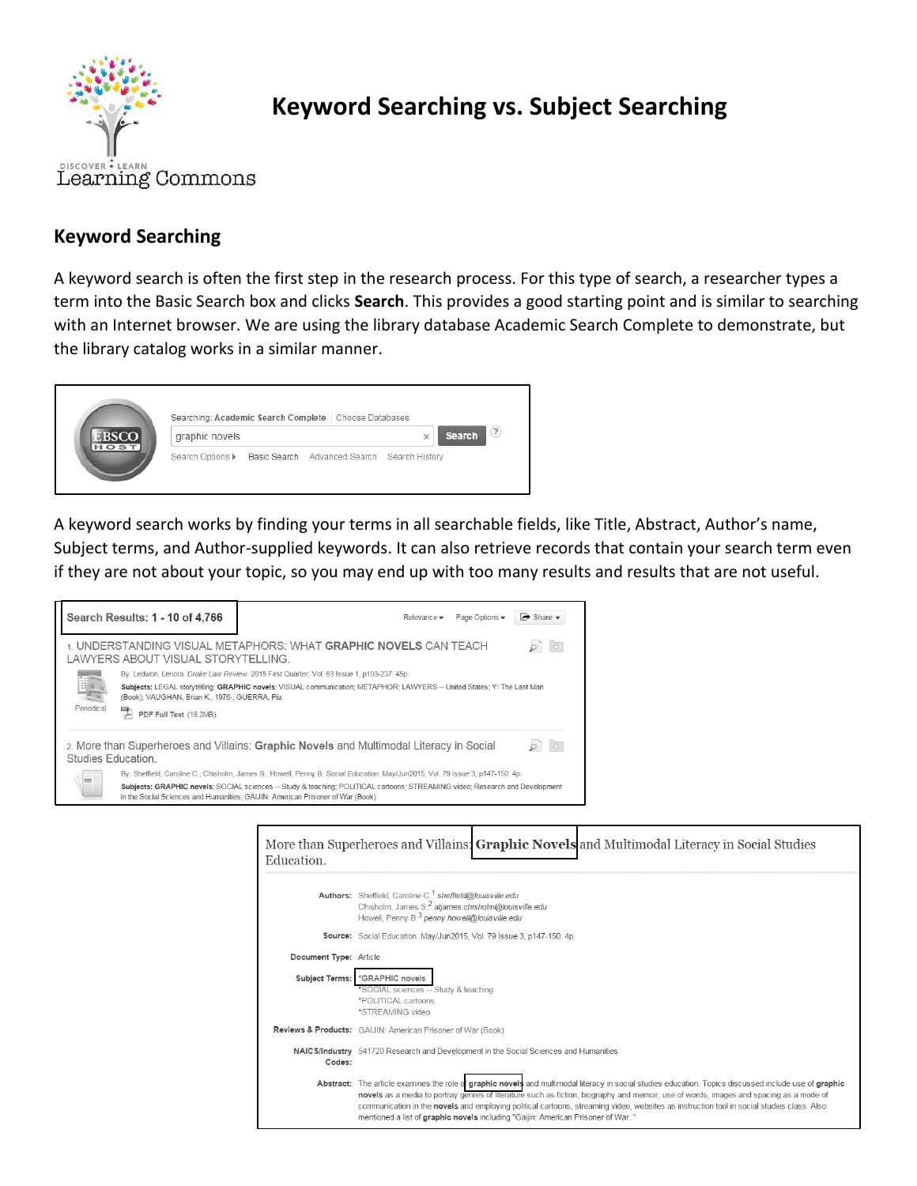

## **Keyword Searching vs. Subject Searching**

## **Keyword Searching**

A keyword search is often the first step in the research process. For this type of search, a researcher types a term into the Basic Search box and clicks **Search**. This provides a good starting point and is similar to searching with an Internet browser. We are using the library database Academic Search Complete to demonstrate, but the library catalog works in a similar manner.

| <b>EBSCO</b><br>HOST. | Searching: Academic Search Complete<br>Choose Databases |  |                                             |                   |  |  |
|-----------------------|---------------------------------------------------------|--|---------------------------------------------|-------------------|--|--|
|                       | graphic novels                                          |  | <b>Search</b><br>$\times$                   | $\left( 2\right)$ |  |  |
|                       | Search Options >                                        |  | Basic Search Advanced Search Search History |                   |  |  |

A keyword search works by finding your terms in all searchable fields, like Title, Abstract, Author's name, Subject terms, and Author-supplied keywords. It can also retrieve records that contain your search term even if they are not about your topic, so you may end up with too many results and results that are not useful.



| Education. | More than Superheroes and Villains: Graphic Novels and Multimodal Literacy in Social Studies                                                                                                                                                                                                                                                                                                                                                                                                                                      |  |  |  |  |  |
|------------|-----------------------------------------------------------------------------------------------------------------------------------------------------------------------------------------------------------------------------------------------------------------------------------------------------------------------------------------------------------------------------------------------------------------------------------------------------------------------------------------------------------------------------------|--|--|--|--|--|
|            | Authors: Sheffield, Caroline C. <sup>1</sup> sheffield@louisville.edu<br>Chisholm, James S. <sup>2</sup> atjames.chisholm@louisville.edu<br>Howell, Penny B. <sup>3</sup> penny.howell@louisville.edu                                                                                                                                                                                                                                                                                                                             |  |  |  |  |  |
|            | Source: Social Education. May/Jun2015, Vol. 79 Issue 3, p147-150. 4p.                                                                                                                                                                                                                                                                                                                                                                                                                                                             |  |  |  |  |  |
|            | Document Type: Article                                                                                                                                                                                                                                                                                                                                                                                                                                                                                                            |  |  |  |  |  |
|            | Subject Terms: *GRAPHIC novels<br>*SOCIAL sciences -- Study & teaching<br>*POLITICAL cartoons<br>*STREAMING video                                                                                                                                                                                                                                                                                                                                                                                                                 |  |  |  |  |  |
|            | Reviews & Products: GAIJIN: American Prisoner of War (Book)                                                                                                                                                                                                                                                                                                                                                                                                                                                                       |  |  |  |  |  |
| Codes:     | NAIC S/Industry 541720 Research and Development in the Social Sciences and Humanities                                                                                                                                                                                                                                                                                                                                                                                                                                             |  |  |  |  |  |
|            | Abstract: The article examines the role of graphic novels and multimodal literacy in social studies education. Topics discussed include use of graphic<br>novels as a media to portray genres of literature such as fiction, biography and memoir, use of words, images and spacing as a mode of<br>communication in the novels and employing political cartoons, streaming video, websites as instruction tool in social studies class. Also<br>mentioned a list of graphic novels including "Gaijin: American Prisoner of War." |  |  |  |  |  |